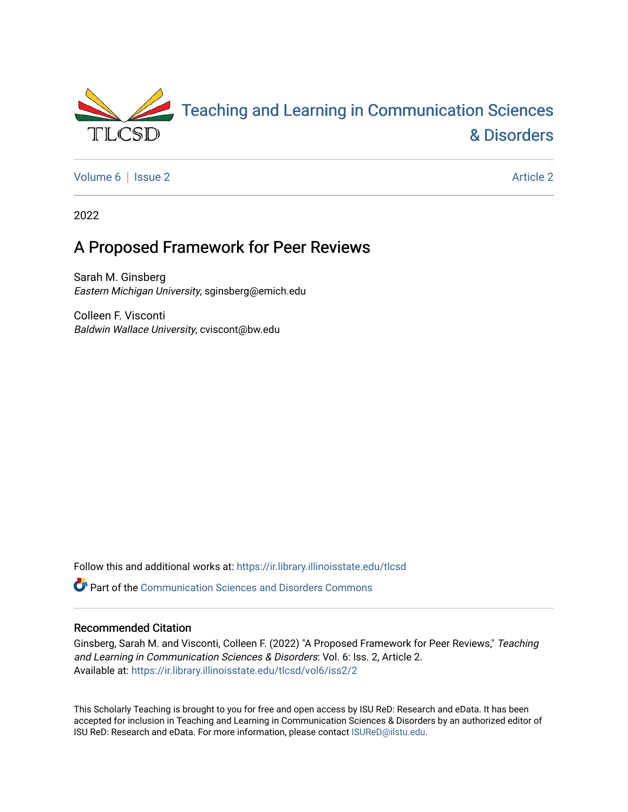

[Volume 6](https://ir.library.illinoisstate.edu/tlcsd/vol6) | [Issue 2](https://ir.library.illinoisstate.edu/tlcsd/vol6/iss2) Article 2

2022

# A Proposed Framework for Peer Reviews

Sarah M. Ginsberg Eastern Michigan University, sginsberg@emich.edu

Colleen F. Visconti Baldwin Wallace University, cviscont@bw.edu

Follow this and additional works at: [https://ir.library.illinoisstate.edu/tlcsd](https://ir.library.illinoisstate.edu/tlcsd?utm_source=ir.library.illinoisstate.edu%2Ftlcsd%2Fvol6%2Fiss2%2F2&utm_medium=PDF&utm_campaign=PDFCoverPages)

**P** Part of the [Communication Sciences and Disorders Commons](https://network.bepress.com/hgg/discipline/1019?utm_source=ir.library.illinoisstate.edu%2Ftlcsd%2Fvol6%2Fiss2%2F2&utm_medium=PDF&utm_campaign=PDFCoverPages)

#### Recommended Citation

Ginsberg, Sarah M. and Visconti, Colleen F. (2022) "A Proposed Framework for Peer Reviews," Teaching and Learning in Communication Sciences & Disorders: Vol. 6: Iss. 2, Article 2. Available at: [https://ir.library.illinoisstate.edu/tlcsd/vol6/iss2/2](https://ir.library.illinoisstate.edu/tlcsd/vol6/iss2/2?utm_source=ir.library.illinoisstate.edu%2Ftlcsd%2Fvol6%2Fiss2%2F2&utm_medium=PDF&utm_campaign=PDFCoverPages) 

This Scholarly Teaching is brought to you for free and open access by ISU ReD: Research and eData. It has been accepted for inclusion in Teaching and Learning in Communication Sciences & Disorders by an authorized editor of ISU ReD: Research and eData. For more information, please contact [ISUReD@ilstu.edu.](mailto:ISUReD@ilstu.edu)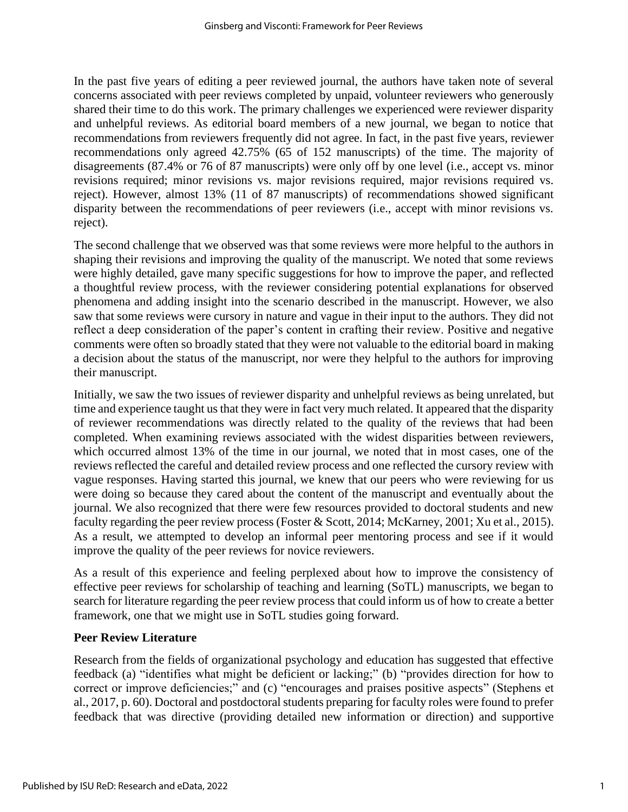In the past five years of editing a peer reviewed journal, the authors have taken note of several concerns associated with peer reviews completed by unpaid, volunteer reviewers who generously shared their time to do this work. The primary challenges we experienced were reviewer disparity and unhelpful reviews. As editorial board members of a new journal, we began to notice that recommendations from reviewers frequently did not agree. In fact, in the past five years, reviewer recommendations only agreed 42.75% (65 of 152 manuscripts) of the time. The majority of disagreements (87.4% or 76 of 87 manuscripts) were only off by one level (i.e., accept vs. minor revisions required; minor revisions vs. major revisions required, major revisions required vs. reject). However, almost 13% (11 of 87 manuscripts) of recommendations showed significant disparity between the recommendations of peer reviewers (i.e., accept with minor revisions vs. reject).

The second challenge that we observed was that some reviews were more helpful to the authors in shaping their revisions and improving the quality of the manuscript. We noted that some reviews were highly detailed, gave many specific suggestions for how to improve the paper, and reflected a thoughtful review process, with the reviewer considering potential explanations for observed phenomena and adding insight into the scenario described in the manuscript. However, we also saw that some reviews were cursory in nature and vague in their input to the authors. They did not reflect a deep consideration of the paper's content in crafting their review. Positive and negative comments were often so broadly stated that they were not valuable to the editorial board in making a decision about the status of the manuscript, nor were they helpful to the authors for improving their manuscript.

Initially, we saw the two issues of reviewer disparity and unhelpful reviews as being unrelated, but time and experience taught us that they were in fact very much related. It appeared that the disparity of reviewer recommendations was directly related to the quality of the reviews that had been completed. When examining reviews associated with the widest disparities between reviewers, which occurred almost 13% of the time in our journal, we noted that in most cases, one of the reviews reflected the careful and detailed review process and one reflected the cursory review with vague responses. Having started this journal, we knew that our peers who were reviewing for us were doing so because they cared about the content of the manuscript and eventually about the journal. We also recognized that there were few resources provided to doctoral students and new faculty regarding the peer review process (Foster & Scott, 2014; McKarney, 2001; Xu et al., 2015). As a result, we attempted to develop an informal peer mentoring process and see if it would improve the quality of the peer reviews for novice reviewers.

As a result of this experience and feeling perplexed about how to improve the consistency of effective peer reviews for scholarship of teaching and learning (SoTL) manuscripts, we began to search for literature regarding the peer review process that could inform us of how to create a better framework, one that we might use in SoTL studies going forward.

# **Peer Review Literature**

Research from the fields of organizational psychology and education has suggested that effective feedback (a) "identifies what might be deficient or lacking;" (b) "provides direction for how to correct or improve deficiencies;" and (c) "encourages and praises positive aspects" (Stephens et al., 2017, p. 60). Doctoral and postdoctoral students preparing for faculty roles were found to prefer feedback that was directive (providing detailed new information or direction) and supportive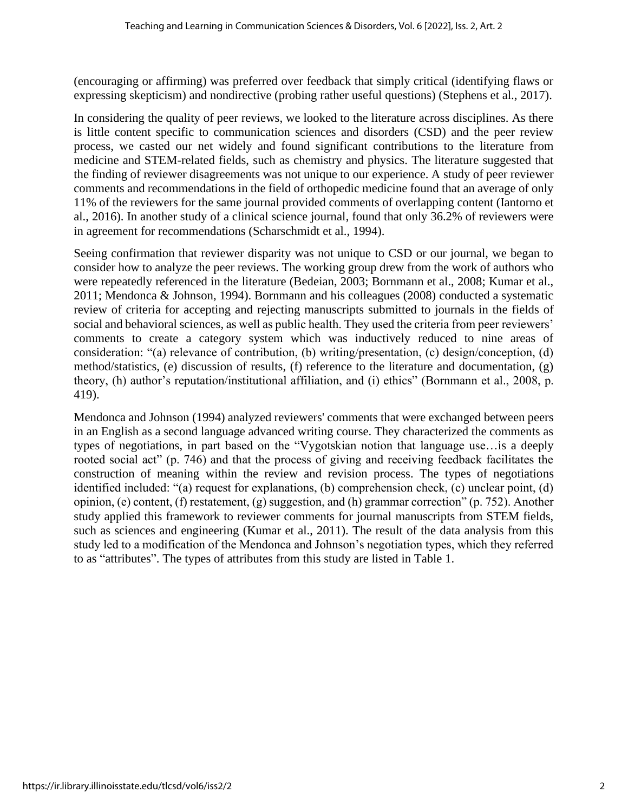(encouraging or affirming) was preferred over feedback that simply critical (identifying flaws or expressing skepticism) and nondirective (probing rather useful questions) (Stephens et al., 2017).

In considering the quality of peer reviews, we looked to the literature across disciplines. As there is little content specific to communication sciences and disorders (CSD) and the peer review process, we casted our net widely and found significant contributions to the literature from medicine and STEM-related fields, such as chemistry and physics. The literature suggested that the finding of reviewer disagreements was not unique to our experience. A study of peer reviewer comments and recommendations in the field of orthopedic medicine found that an average of only 11% of the reviewers for the same journal provided comments of overlapping content (Iantorno et al., 2016). In another study of a clinical science journal, found that only 36.2% of reviewers were in agreement for recommendations (Scharschmidt et al., 1994).

Seeing confirmation that reviewer disparity was not unique to CSD or our journal, we began to consider how to analyze the peer reviews. The working group drew from the work of authors who were repeatedly referenced in the literature (Bedeian, 2003; Bornmann et al., 2008; Kumar et al., 2011; Mendonca & Johnson, 1994). Bornmann and his colleagues (2008) conducted a systematic review of criteria for accepting and rejecting manuscripts submitted to journals in the fields of social and behavioral sciences, as well as public health. They used the criteria from peer reviewers' comments to create a category system which was inductively reduced to nine areas of consideration: "(a) relevance of contribution, (b) writing/presentation, (c) design/conception, (d) method/statistics, (e) discussion of results, (f) reference to the literature and documentation, (g) theory, (h) author's reputation/institutional affiliation, and (i) ethics" (Bornmann et al., 2008, p. 419).

Mendonca and Johnson (1994) analyzed reviewers' comments that were exchanged between peers in an English as a second language advanced writing course. They characterized the comments as types of negotiations, in part based on the "Vygotskian notion that language use…is a deeply rooted social act" (p. 746) and that the process of giving and receiving feedback facilitates the construction of meaning within the review and revision process. The types of negotiations identified included: "(a) request for explanations, (b) comprehension check, (c) unclear point, (d) opinion, (e) content, (f) restatement, (g) suggestion, and (h) grammar correction" (p. 752). Another study applied this framework to reviewer comments for journal manuscripts from STEM fields, such as sciences and engineering (Kumar et al., 2011). The result of the data analysis from this study led to a modification of the Mendonca and Johnson's negotiation types, which they referred to as "attributes". The types of attributes from this study are listed in Table 1.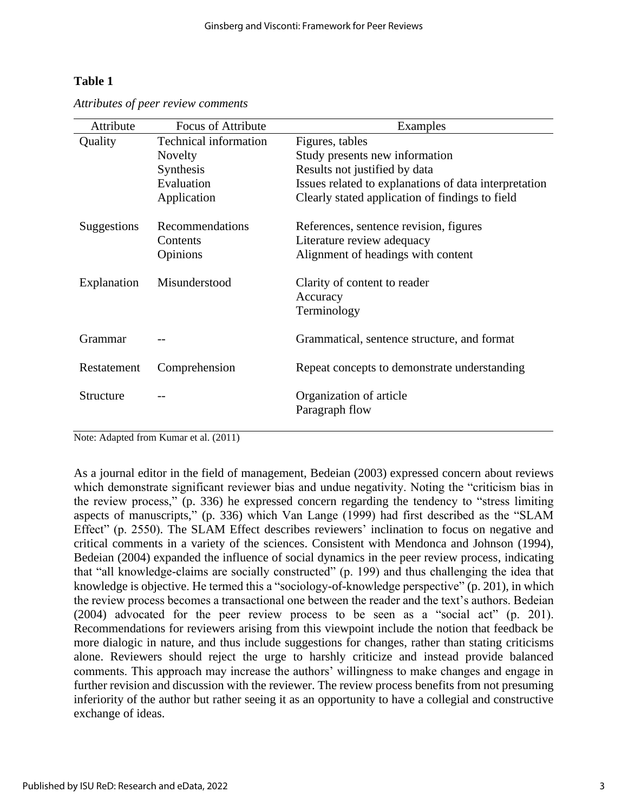# **Table 1**

| Attribute   | <b>Focus of Attribute</b> | Examples                                                |
|-------------|---------------------------|---------------------------------------------------------|
| Quality     | Technical information     | Figures, tables                                         |
|             | Novelty                   | Study presents new information                          |
|             | Synthesis                 | Results not justified by data                           |
|             | Evaluation                | Issues related to explanations of data interpretation   |
|             | Application               | Clearly stated application of findings to field         |
| Suggestions | Recommendations           | References, sentence revision, figures                  |
|             | Contents                  | Literature review adequacy                              |
|             | Opinions                  | Alignment of headings with content                      |
| Explanation | Misunderstood             | Clarity of content to reader<br>Accuracy<br>Terminology |
| Grammar     |                           | Grammatical, sentence structure, and format             |
| Restatement | Comprehension             | Repeat concepts to demonstrate understanding            |
| Structure   |                           | Organization of article<br>Paragraph flow               |

*Attributes of peer review comments* 

Note: Adapted from Kumar et al. (2011)

As a journal editor in the field of management, Bedeian (2003) expressed concern about reviews which demonstrate significant reviewer bias and undue negativity. Noting the "criticism bias in the review process," (p. 336) he expressed concern regarding the tendency to "stress limiting aspects of manuscripts," (p. 336) which Van Lange (1999) had first described as the "SLAM Effect" (p. 2550). The SLAM Effect describes reviewers' inclination to focus on negative and critical comments in a variety of the sciences. Consistent with Mendonca and Johnson (1994), Bedeian (2004) expanded the influence of social dynamics in the peer review process, indicating that "all knowledge-claims are socially constructed" (p. 199) and thus challenging the idea that knowledge is objective. He termed this a "sociology-of-knowledge perspective" (p. 201), in which the review process becomes a transactional one between the reader and the text's authors. Bedeian (2004) advocated for the peer review process to be seen as a "social act" (p. 201). Recommendations for reviewers arising from this viewpoint include the notion that feedback be more dialogic in nature, and thus include suggestions for changes, rather than stating criticisms alone. Reviewers should reject the urge to harshly criticize and instead provide balanced comments. This approach may increase the authors' willingness to make changes and engage in further revision and discussion with the reviewer. The review process benefits from not presuming inferiority of the author but rather seeing it as an opportunity to have a collegial and constructive exchange of ideas.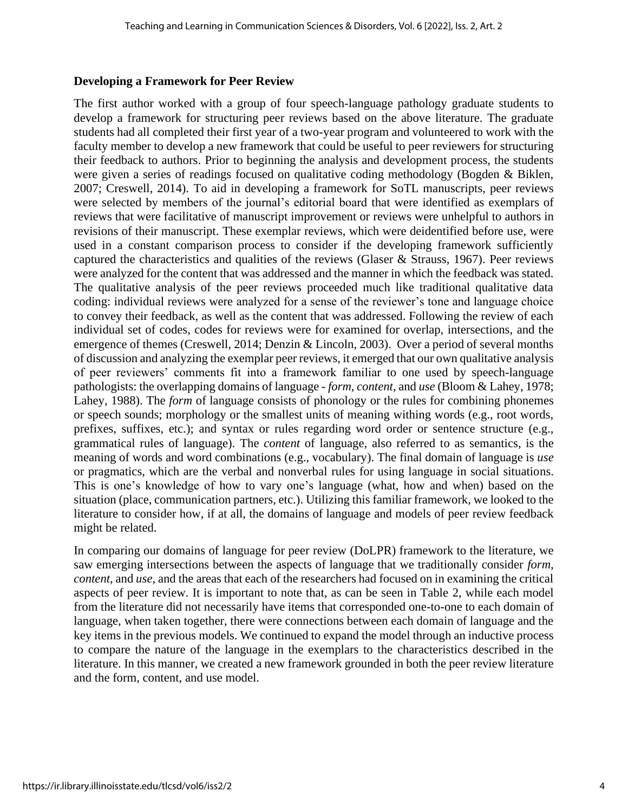## **Developing a Framework for Peer Review**

The first author worked with a group of four speech-language pathology graduate students to develop a framework for structuring peer reviews based on the above literature. The graduate students had all completed their first year of a two-year program and volunteered to work with the faculty member to develop a new framework that could be useful to peer reviewers for structuring their feedback to authors. Prior to beginning the analysis and development process, the students were given a series of readings focused on qualitative coding methodology (Bogden & Biklen, 2007; Creswell, 2014). To aid in developing a framework for SoTL manuscripts, peer reviews were selected by members of the journal's editorial board that were identified as exemplars of reviews that were facilitative of manuscript improvement or reviews were unhelpful to authors in revisions of their manuscript. These exemplar reviews, which were deidentified before use, were used in a constant comparison process to consider if the developing framework sufficiently captured the characteristics and qualities of the reviews (Glaser & Strauss, 1967). Peer reviews were analyzed for the content that was addressed and the manner in which the feedback was stated. The qualitative analysis of the peer reviews proceeded much like traditional qualitative data coding: individual reviews were analyzed for a sense of the reviewer's tone and language choice to convey their feedback, as well as the content that was addressed. Following the review of each individual set of codes, codes for reviews were for examined for overlap, intersections, and the emergence of themes (Creswell, 2014; Denzin & Lincoln, 2003). Over a period of several months of discussion and analyzing the exemplar peer reviews, it emerged that our own qualitative analysis of peer reviewers' comments fit into a framework familiar to one used by speech-language pathologists: the overlapping domains of language - *form, content*, and *use* (Bloom & Lahey, 1978; Lahey, 1988). The *form* of language consists of phonology or the rules for combining phonemes or speech sounds; morphology or the smallest units of meaning withing words (e.g., root words, prefixes, suffixes, etc.); and syntax or rules regarding word order or sentence structure (e.g., grammatical rules of language). The *content* of language, also referred to as semantics, is the meaning of words and word combinations (e.g., vocabulary). The final domain of language is *use* or pragmatics, which are the verbal and nonverbal rules for using language in social situations. This is one's knowledge of how to vary one's language (what, how and when) based on the situation (place, communication partners, etc.). Utilizing this familiar framework, we looked to the literature to consider how, if at all, the domains of language and models of peer review feedback might be related.

In comparing our domains of language for peer review (DoLPR) framework to the literature, we saw emerging intersections between the aspects of language that we traditionally consider *form, content*, and *use*, and the areas that each of the researchers had focused on in examining the critical aspects of peer review. It is important to note that, as can be seen in Table 2, while each model from the literature did not necessarily have items that corresponded one-to-one to each domain of language, when taken together, there were connections between each domain of language and the key items in the previous models. We continued to expand the model through an inductive process to compare the nature of the language in the exemplars to the characteristics described in the literature. In this manner, we created a new framework grounded in both the peer review literature and the form, content, and use model.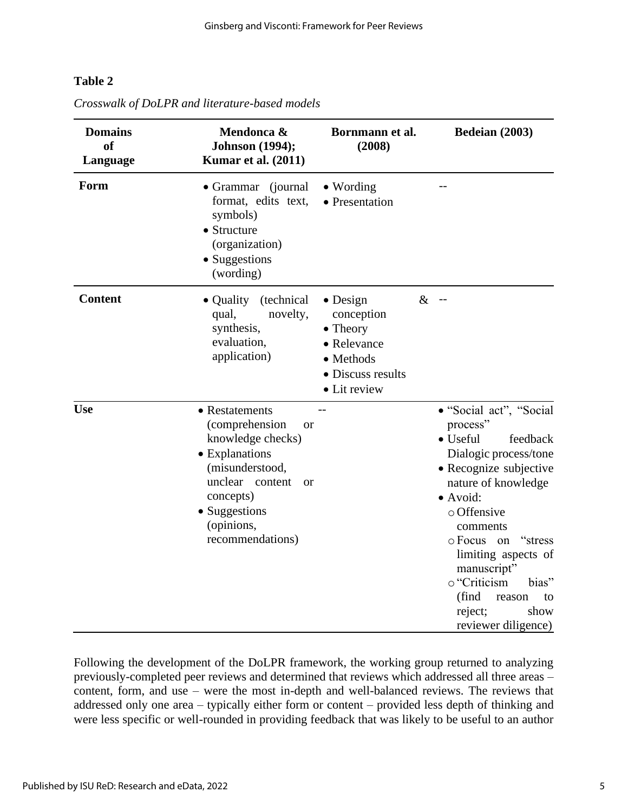## **Table 2**

| <b>Domains</b><br><b>of</b><br>Language | Mendonca &<br><b>Johnson</b> (1994);<br><b>Kumar et al. (2011)</b>                                                                                                                                          | Bornmann et al.<br>(2008)                                                                                   | Bedeian (2003)                                                                                                                                                                                                                                                                                                                                         |
|-----------------------------------------|-------------------------------------------------------------------------------------------------------------------------------------------------------------------------------------------------------------|-------------------------------------------------------------------------------------------------------------|--------------------------------------------------------------------------------------------------------------------------------------------------------------------------------------------------------------------------------------------------------------------------------------------------------------------------------------------------------|
| Form                                    | • Grammar (journal<br>format, edits text,<br>symbols)<br>• Structure<br>(organization)<br>• Suggestions<br>(wording)                                                                                        | $\bullet$ Wording<br>• Presentation                                                                         |                                                                                                                                                                                                                                                                                                                                                        |
| <b>Content</b>                          | • Quality<br>(technical<br>novelty,<br>qual,<br>synthesis,<br>evaluation,<br>application)                                                                                                                   | $\bullet$ Design<br>conception<br>• Theory<br>• Relevance<br>• Methods<br>• Discuss results<br>• Lit review | $\&$<br>$-$                                                                                                                                                                                                                                                                                                                                            |
| <b>Use</b>                              | • Restatements<br>(comprehension<br><b>or</b><br>knowledge checks)<br>• Explanations<br>(misunderstood,<br>unclear content<br><sub>or</sub><br>concepts)<br>• Suggestions<br>(opinions,<br>recommendations) |                                                                                                             | · "Social act", "Social<br>process"<br>$\bullet$ Useful<br>feedback<br>Dialogic process/tone<br>• Recognize subjective<br>nature of knowledge<br>• Avoid:<br>o Offensive<br>comments<br>$\circ$ Focus on<br>"stress"<br>limiting aspects of<br>manuscript"<br>o "Criticism<br>bias"<br>(find<br>reason<br>to<br>reject;<br>show<br>reviewer diligence) |

*Crosswalk of DoLPR and literature-based models*

Following the development of the DoLPR framework, the working group returned to analyzing previously-completed peer reviews and determined that reviews which addressed all three areas – content, form, and use – were the most in-depth and well-balanced reviews. The reviews that addressed only one area – typically either form or content – provided less depth of thinking and were less specific or well-rounded in providing feedback that was likely to be useful to an author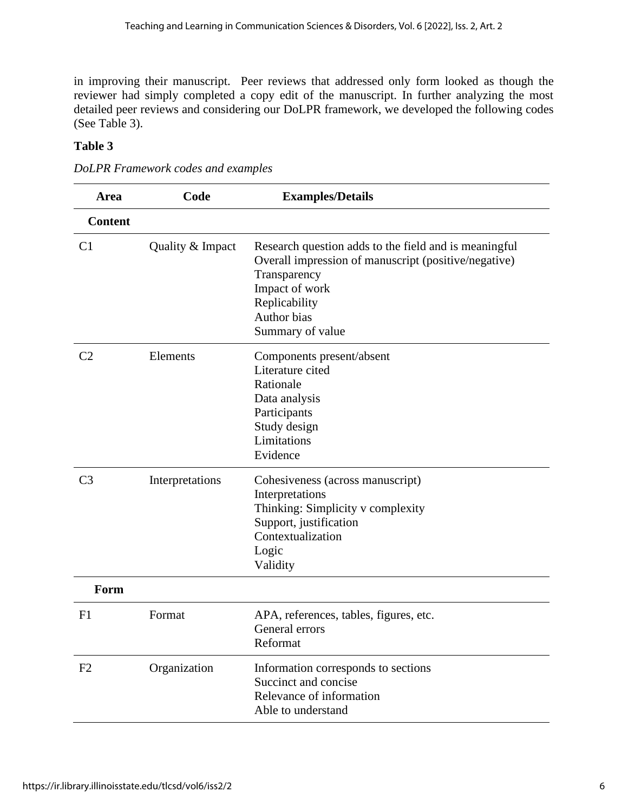in improving their manuscript. Peer reviews that addressed only form looked as though the reviewer had simply completed a copy edit of the manuscript. In further analyzing the most detailed peer reviews and considering our DoLPR framework, we developed the following codes (See Table 3).

## **Table 3**

| <b>DoLPR</b> Framework codes and examples |  |  |
|-------------------------------------------|--|--|
|                                           |  |  |

| Area           | Code             | <b>Examples/Details</b>                                                                                                                                                                             |
|----------------|------------------|-----------------------------------------------------------------------------------------------------------------------------------------------------------------------------------------------------|
| <b>Content</b> |                  |                                                                                                                                                                                                     |
| C <sub>1</sub> | Quality & Impact | Research question adds to the field and is meaningful<br>Overall impression of manuscript (positive/negative)<br>Transparency<br>Impact of work<br>Replicability<br>Author bias<br>Summary of value |
| C <sub>2</sub> | Elements         | Components present/absent<br>Literature cited<br>Rationale<br>Data analysis<br>Participants<br>Study design<br>Limitations<br>Evidence                                                              |
| C <sub>3</sub> | Interpretations  | Cohesiveness (across manuscript)<br>Interpretations<br>Thinking: Simplicity v complexity<br>Support, justification<br>Contextualization<br>Logic<br>Validity                                        |
| Form           |                  |                                                                                                                                                                                                     |
| F1             | Format           | APA, references, tables, figures, etc.<br>General errors<br>Reformat                                                                                                                                |
| F2             | Organization     | Information corresponds to sections<br>Succinct and concise<br>Relevance of information<br>Able to understand                                                                                       |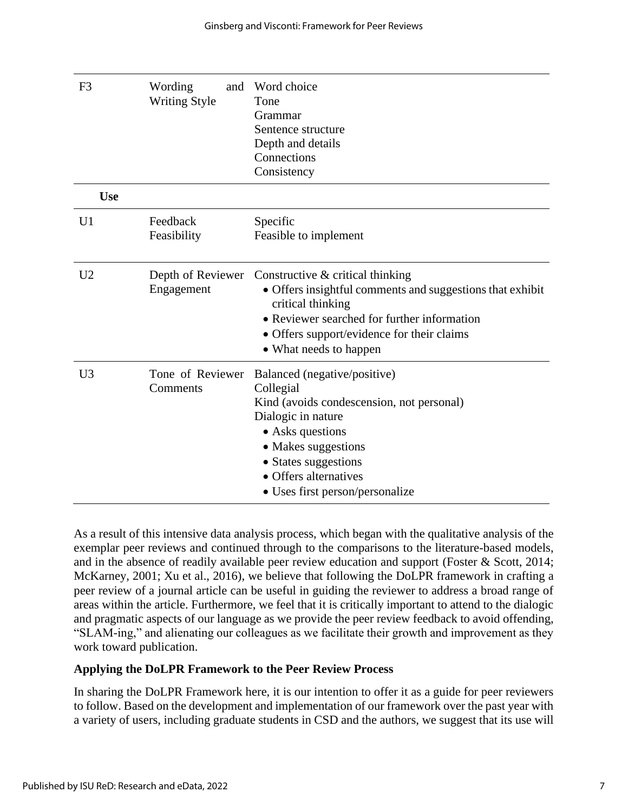| F <sub>3</sub> | Wording<br>and<br><b>Writing Style</b> | Word choice<br>Tone<br>Grammar<br>Sentence structure<br>Depth and details<br>Connections<br>Consistency                                                                                                                                     |
|----------------|----------------------------------------|---------------------------------------------------------------------------------------------------------------------------------------------------------------------------------------------------------------------------------------------|
| <b>Use</b>     |                                        |                                                                                                                                                                                                                                             |
| U <sub>1</sub> | Feedback<br>Feasibility                | Specific<br>Feasible to implement                                                                                                                                                                                                           |
| U <sub>2</sub> | Depth of Reviewer<br>Engagement        | Constructive $&$ critical thinking<br>• Offers insightful comments and suggestions that exhibit<br>critical thinking<br>• Reviewer searched for further information<br>• Offers support/evidence for their claims<br>• What needs to happen |
| U <sub>3</sub> | Tone of Reviewer<br>Comments           | Balanced (negative/positive)<br>Collegial<br>Kind (avoids condescension, not personal)<br>Dialogic in nature<br>• Asks questions<br>• Makes suggestions<br>• States suggestions<br>• Offers alternatives<br>• Uses first person/personalize |

As a result of this intensive data analysis process, which began with the qualitative analysis of the exemplar peer reviews and continued through to the comparisons to the literature-based models, and in the absence of readily available peer review education and support (Foster & Scott, 2014; McKarney, 2001; Xu et al., 2016), we believe that following the DoLPR framework in crafting a peer review of a journal article can be useful in guiding the reviewer to address a broad range of areas within the article. Furthermore, we feel that it is critically important to attend to the dialogic and pragmatic aspects of our language as we provide the peer review feedback to avoid offending, "SLAM-ing," and alienating our colleagues as we facilitate their growth and improvement as they work toward publication.

#### **Applying the DoLPR Framework to the Peer Review Process**

In sharing the DoLPR Framework here, it is our intention to offer it as a guide for peer reviewers to follow. Based on the development and implementation of our framework over the past year with a variety of users, including graduate students in CSD and the authors, we suggest that its use will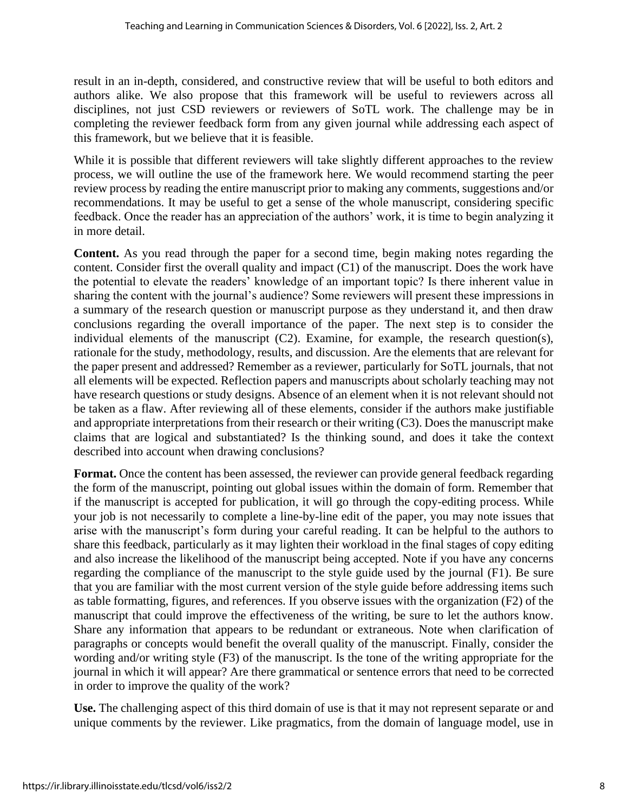result in an in-depth, considered, and constructive review that will be useful to both editors and authors alike. We also propose that this framework will be useful to reviewers across all disciplines, not just CSD reviewers or reviewers of SoTL work. The challenge may be in completing the reviewer feedback form from any given journal while addressing each aspect of this framework, but we believe that it is feasible.

While it is possible that different reviewers will take slightly different approaches to the review process, we will outline the use of the framework here. We would recommend starting the peer review process by reading the entire manuscript prior to making any comments, suggestions and/or recommendations. It may be useful to get a sense of the whole manuscript, considering specific feedback. Once the reader has an appreciation of the authors' work, it is time to begin analyzing it in more detail.

**Content.** As you read through the paper for a second time, begin making notes regarding the content. Consider first the overall quality and impact (C1) of the manuscript. Does the work have the potential to elevate the readers' knowledge of an important topic? Is there inherent value in sharing the content with the journal's audience? Some reviewers will present these impressions in a summary of the research question or manuscript purpose as they understand it, and then draw conclusions regarding the overall importance of the paper. The next step is to consider the individual elements of the manuscript (C2). Examine, for example, the research question(s), rationale for the study, methodology, results, and discussion. Are the elements that are relevant for the paper present and addressed? Remember as a reviewer, particularly for SoTL journals, that not all elements will be expected. Reflection papers and manuscripts about scholarly teaching may not have research questions or study designs. Absence of an element when it is not relevant should not be taken as a flaw. After reviewing all of these elements, consider if the authors make justifiable and appropriate interpretations from their research or their writing (C3). Does the manuscript make claims that are logical and substantiated? Is the thinking sound, and does it take the context described into account when drawing conclusions?

Format. Once the content has been assessed, the reviewer can provide general feedback regarding the form of the manuscript, pointing out global issues within the domain of form. Remember that if the manuscript is accepted for publication, it will go through the copy-editing process. While your job is not necessarily to complete a line-by-line edit of the paper, you may note issues that arise with the manuscript's form during your careful reading. It can be helpful to the authors to share this feedback, particularly as it may lighten their workload in the final stages of copy editing and also increase the likelihood of the manuscript being accepted. Note if you have any concerns regarding the compliance of the manuscript to the style guide used by the journal (F1). Be sure that you are familiar with the most current version of the style guide before addressing items such as table formatting, figures, and references. If you observe issues with the organization (F2) of the manuscript that could improve the effectiveness of the writing, be sure to let the authors know. Share any information that appears to be redundant or extraneous. Note when clarification of paragraphs or concepts would benefit the overall quality of the manuscript. Finally, consider the wording and/or writing style (F3) of the manuscript. Is the tone of the writing appropriate for the journal in which it will appear? Are there grammatical or sentence errors that need to be corrected in order to improve the quality of the work?

**Use.** The challenging aspect of this third domain of use is that it may not represent separate or and unique comments by the reviewer. Like pragmatics, from the domain of language model, use in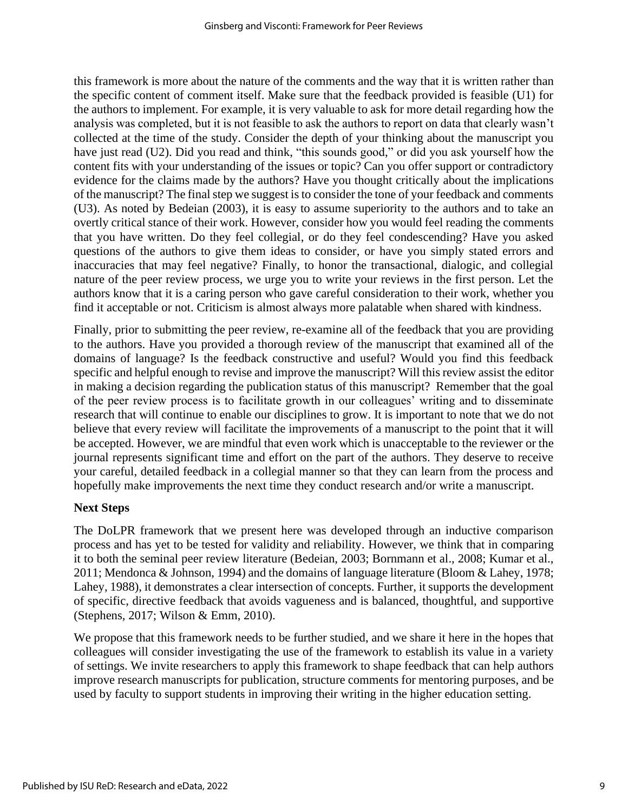this framework is more about the nature of the comments and the way that it is written rather than the specific content of comment itself. Make sure that the feedback provided is feasible (U1) for the authors to implement. For example, it is very valuable to ask for more detail regarding how the analysis was completed, but it is not feasible to ask the authors to report on data that clearly wasn't collected at the time of the study. Consider the depth of your thinking about the manuscript you have just read (U2). Did you read and think, "this sounds good," or did you ask yourself how the content fits with your understanding of the issues or topic? Can you offer support or contradictory evidence for the claims made by the authors? Have you thought critically about the implications of the manuscript? The final step we suggest is to consider the tone of your feedback and comments (U3). As noted by Bedeian (2003), it is easy to assume superiority to the authors and to take an overtly critical stance of their work. However, consider how you would feel reading the comments that you have written. Do they feel collegial, or do they feel condescending? Have you asked questions of the authors to give them ideas to consider, or have you simply stated errors and inaccuracies that may feel negative? Finally, to honor the transactional, dialogic, and collegial nature of the peer review process, we urge you to write your reviews in the first person. Let the authors know that it is a caring person who gave careful consideration to their work, whether you find it acceptable or not. Criticism is almost always more palatable when shared with kindness.

Finally, prior to submitting the peer review, re-examine all of the feedback that you are providing to the authors. Have you provided a thorough review of the manuscript that examined all of the domains of language? Is the feedback constructive and useful? Would you find this feedback specific and helpful enough to revise and improve the manuscript? Will this review assist the editor in making a decision regarding the publication status of this manuscript? Remember that the goal of the peer review process is to facilitate growth in our colleagues' writing and to disseminate research that will continue to enable our disciplines to grow. It is important to note that we do not believe that every review will facilitate the improvements of a manuscript to the point that it will be accepted. However, we are mindful that even work which is unacceptable to the reviewer or the journal represents significant time and effort on the part of the authors. They deserve to receive your careful, detailed feedback in a collegial manner so that they can learn from the process and hopefully make improvements the next time they conduct research and/or write a manuscript.

# **Next Steps**

The DoLPR framework that we present here was developed through an inductive comparison process and has yet to be tested for validity and reliability. However, we think that in comparing it to both the seminal peer review literature (Bedeian, 2003; Bornmann et al., 2008; Kumar et al., 2011; Mendonca & Johnson, 1994) and the domains of language literature (Bloom & Lahey, 1978; Lahey, 1988), it demonstrates a clear intersection of concepts. Further, it supports the development of specific, directive feedback that avoids vagueness and is balanced, thoughtful, and supportive (Stephens, 2017; Wilson & Emm, 2010).

We propose that this framework needs to be further studied, and we share it here in the hopes that colleagues will consider investigating the use of the framework to establish its value in a variety of settings. We invite researchers to apply this framework to shape feedback that can help authors improve research manuscripts for publication, structure comments for mentoring purposes, and be used by faculty to support students in improving their writing in the higher education setting.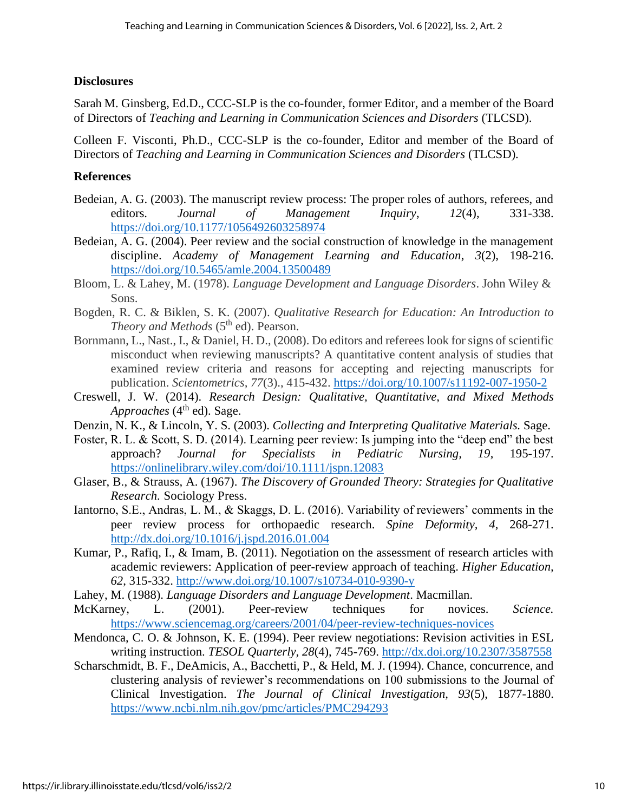#### **Disclosures**

Sarah M. Ginsberg, Ed.D., CCC-SLP is the co-founder, former Editor, and a member of the Board of Directors of *Teaching and Learning in Communication Sciences and Disorders* (TLCSD).

Colleen F. Visconti, Ph.D., CCC-SLP is the co-founder, Editor and member of the Board of Directors of *Teaching and Learning in Communication Sciences and Disorders* (TLCSD).

### **References**

- Bedeian, A. G. (2003). The manuscript review process: The proper roles of authors, referees, and editors. *Journal of Management Inquiry*, *12*(4), 331-338. <https://doi.org/10.1177/1056492603258974>
- Bedeian, A. G. (2004). Peer review and the social construction of knowledge in the management discipline. *Academy of Management Learning and Education*, *3*(2), 198-216. <https://doi.org/10.5465/amle.2004.13500489>
- Bloom, L. & Lahey, M. (1978). *Language Development and Language Disorders*. John Wiley & Sons.
- Bogden, R. C. & Biklen, S. K. (2007). *Qualitative Research for Education: An Introduction to Theory and Methods* (5<sup>th</sup> ed). Pearson.
- Bornmann, L., Nast., I., & Daniel, H. D., (2008). Do editors and referees look for signs of scientific misconduct when reviewing manuscripts? A quantitative content analysis of studies that examined review criteria and reasons for accepting and rejecting manuscripts for publication. *Scientometrics, 77*(3)., 415-432.<https://doi.org/10.1007/s11192-007-1950-2>
- Creswell, J. W. (2014). *Research Design: Qualitative, Quantitative, and Mixed Methods*  Approaches (4<sup>th</sup> ed). Sage.
- Denzin, N. K., & Lincoln, Y. S. (2003). *Collecting and Interpreting Qualitative Materials.* Sage.
- Foster, R. L. & Scott, S. D. (2014). Learning peer review: Is jumping into the "deep end" the best approach? *Journal for Specialists in Pediatric Nursing, 19*, 195-197. <https://onlinelibrary.wiley.com/doi/10.1111/jspn.12083>
- Glaser, B., & Strauss, A. (1967). *The Discovery of Grounded Theory: Strategies for Qualitative Research.* Sociology Press.
- Iantorno, S.E., Andras, L. M., & Skaggs, D. L. (2016). Variability of reviewers' comments in the peer review process for orthopaedic research. *Spine Deformity, 4*, 268-271. <http://dx.doi.org/10.1016/j.jspd.2016.01.004>
- Kumar, P., Rafiq, I., & Imam, B. (2011). Negotiation on the assessment of research articles with academic reviewers: Application of peer-review approach of teaching. *Higher Education, 62*, 315-332.<http://www.doi.org/10.1007/s10734-010-9390-y>
- Lahey, M. (1988). *Language Disorders and Language Development*. Macmillan.
- McKarney, L. (2001). Peer-review techniques for novices. *Science.*  <https://www.sciencemag.org/careers/2001/04/peer-review-techniques-novices>
- Mendonca, C. O. & Johnson, K. E. (1994). Peer review negotiations: Revision activities in ESL writing instruction. *TESOL Quarterly, 28*(4), 745-769.<http://dx.doi.org/10.2307/3587558>
- Scharschmidt, B. F., DeAmicis, A., Bacchetti, P., & Held, M. J. (1994). Chance, concurrence, and clustering analysis of reviewer's recommendations on 100 submissions to the Journal of Clinical Investigation. *The Journal of Clinical Investigation, 93*(5), 1877-1880. <https://www.ncbi.nlm.nih.gov/pmc/articles/PMC294293>